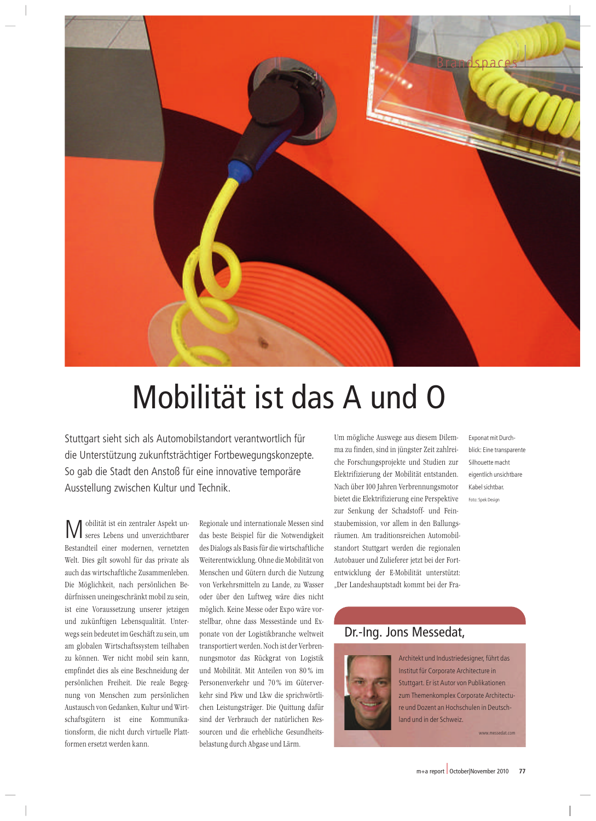

## Um mögliche Auswege aus diesem Dilem-Mobilität ist das A und O

Ausstellung zwischen Kultur und Technik. Stuttgart sieht sich als Automobilstandort verantwortlich für die Unterstützung zukunftsträchtiger Fortbewegungskonzepte. So gab die Stadt den Anstoß für eine innovative temporäre

M g zwischen Kultur un<br>ist ein zentraler Aspekt unt ist ein zentraler Aspekt under anderen zur Lebens und unverzichtbarer ität ist ein zentraler Aspekt un-<br>s Lebens und unverzichtbarer<br>einer modernen, vernetzten  $N/$ Obilitat ist ein zentraler Aspekt underzeichtbarer<br>Indteil einer modernen, vernetzten<br>Dies gilt sowohl für das private als  $\mathbf{v}$ I seres Lebens und unverzichtbarer<br>andteil einer modernen, vernetzten<br>Dies gilt sowohl für das private als<br>das wirtschaftliche Zusammenleben. Bes tandteil einer modernen, vernetzten<br>It. Dies gilt sowohl für das private als<br>In das wirtschaftliche Zusammenleben.<br>Möglichkeit, nach persönlichen Be-Welt. Dies gilt sowohl für das private als<br>virtschaftliche Zusammenleben.<br>chkeit, nach persönlichen Be-<br>uneingeschränkt mobil zu sein. auch das wirtschaftliche Zusammenleben. eht das wirtschaftliche Zusammenleben.<br>1998 - Möglichkeit, nach persönlichen Be-<br>1998 - rinsen uneingeschränkt mobil zu sein,<br>1998 - eine Voraussetzung unserer jetzigen Die Moglichkeit, nach personlichen Be-<br>fnissen uneingeschränkt mobil zu sein,<br>eine Voraussetzung unserer jetzigen<br>zukünftigen Lebensqualität. Unterdurff inseen uneingeschrankt mobil zu sein,<br>ine Voraussetzung unserer jetzigen<br>zukünftigen Lebensqualität. Unter-<br>sein bedeutet im Geschäft zu sein, um ist eine Voraussetzung unserer jetzigen eine Voraussetzung unserer jetzigen<br>1 zukünftigen Lebensqualität. Unter-<br>19 sein bedeutet im Geschäft zu sein, um<br>19 obalen Wirtschaftssystem teilhaben un d zukünftigen Lebensqualität. Unter-<br>2gs sein bedeutet im Geschäft zu sein, um<br>1 globalen Wirtschaftssystem teilhaben<br>können. Wer nicht mobil sein kann. wegs sein | bedeutet im Geschäft zu sein, um<br>en Wirtschaftssystem teilhaben<br>n. Wer nicht mobil sein kann,<br>dies als eine Beschneidung der am globalen Wirtschaftssystem teilhaben Wirtschaftssystem teilhaben<br>Wer nicht mobil sein kann,<br>es als eine Beschneidung der<br>Freiheit. Die reale Begegzu ko onnen. Wer nicht mobil sein kann,<br>indet dies als eine Beschneidung der<br>nlichen Freiheit. Die reale Begeg-<br>von Menschen zum persönlichen empfindet dies als eine Beschneidung der dies als eine Beschneidung der<br>ven Freiheit. Die reale Begeg-<br>Menschen zum persönlichen<br>von Gedanken, Kultur und Wirtpersönlichen Freiheit. Die reale Begeg-<br>enschen zum persönlichen<br>1 Gedanken, Kultur und Wirt-<br>ist eine Kommunikanung von Menschen zum persönlichen Menschen zum persönlichen<br>von Gedanken, Kultur und Wirt-<br>ern ist eine Kommunika-<br>die nicht durch virtuelle Platt-Austaus schaftsgütern ist eine Kommunikationsform, die nicht durch virtuelle Platt-<br>formen ersetzt werden kann.

 und internationale Messen sind e<br>beste Beispiel für die Notwendigkeit<br>beste Beispiel für die Notwendigkeit exteemd internationale Messen sind<br>Dialogs als Basis für die Notwendigkeit<br>Dialogs als Basis für die wirtschaftliche Regionale und intei nationale Messen sind<br>für die Notwendigkeit<br>für die wirtschaftliche<br>Ohne die Mobilität von das beste Beispiel fur die Notwendigkeit<br>s als Basis für die wirtschaftliche<br>wicklung. Ohne die Mobilität von<br>und Gütern durch die Nutzung des Dialogs als Basis für die wirtschaftliche<br>terentwicklung. Ohne die Mobilität von<br>ischen und Gütern durch die Nutzung<br>Verkehrsmitteln zu Lande. zu Wasser Weit erentwicklung. Ohne die Mobilität von<br>schen und Gütern durch die Nutzung<br>Verkehrsmitteln zu Lande, zu Wasser<br>über den Luftweg wäre dies nicht Menschen und Gütern durch die Nutzung n und Gütern durch die Nutzung<br>ehrsmitteln zu Lande, zu Wasser<br>er den Luftweg wäre dies nicht<br>Keine Messe oder Expo wäre vorvon Ver kehrsmitteln zu Lande, zu Wasser<br>ver den Luftweg wäre dies nicht<br>1. Keine Messe oder Expo wäre vor-<br>ohne dass Messestände und Exoder u ber den Luttweg ware dies nicht<br>h. Keine Messe oder Expo wäre vor-<br>r, ohne dass Messestände und Ex-<br>von der Logistikbranche weltweit möglich. Keine Messe oder Expo wäre vor-<br>Messestände und Ex-<br>stikbranche weltweit<br>Noch ist der Verbrenstellbar, ohne dass Messestände und Exe dass Messestände und Ex-<br>der Logistikbranche weltweit<br>twerden. Noch ist der Verbren-<br>das Rückgrat von Logistik pon ate von der Logistikbranche weltweit<br>isportiert werden. Noch ist der Verbren-<br>gsmotor das Rückgrat von Logistik<br>Mobilität. Mit Anteilen von 80% im transportiert wer den. Noch ist der Verbren-<br>Rückgrat von Logistik<br>lit Anteilen von 80% im<br>und 70% im Gütervernung smotor das Ruckgrat von Logistik<br>Mobilität. Mit Anteilen von 80% im<br>Denverkehr und 70% im Güterver-<br>Sind Pkw und Lkw die sprichwörtliund Mobilität. Mit Anteilen von 80% im Mobilität. Mit Anteilen von 80% im<br>Denverkehr und 70% im Güterversind Pkw und Lkw die sprichwörtli-<br>Leistungsträger. Die Quittung dafür Pers onenverkehr und 70% im Güterver-<br>der sind Pkw und Lkw die sprichwörtli-<br>der Verbrauch der natürlichen Reskehr sind Pkw und Lkw die sprichwörtliud Pkw und Lkw die sprichwörtli-<br>istungsträger. Die Quittung dafür<br>r Verbrauch der natürlichen Res-<br>und die erhebliche Gesundheitschen Leis tungsträger. Die Quittun<br>Verbrauch der natürlich<br>1nd die erhebliche Gesu<br>durch Abgase und Lärm.

n mögliche Auswege aus diesem Dileman<br>Zu finden, sind in jüngster Zeit zahlreimögliche Auswege aus diesem Dilem-<br>zu finden, sind in jüngster Zeit zahlrei-<br>Forschungsprojekte und Studien zur Um mögliche A uswege aus diesem Dilem-<br>ind in jüngster Zeit zahlrei-<br>sprojekte und Studien zur<br>der Mobilität entstanden. ma zi ü inden, sind in jungster Zeit zahlrei-<br>Forschungsprojekte und Studien zur<br>rifizierung der Mobilität entstanden.<br>über 100 Jahren Verbrennungsmotor che Forschungsprojekte und Studien zur 'orschungsprojekte und Studien zur<br>'ifizierung der Mobilität entstanden.<br>über 100 Jahren Verbrennungsmotor<br>die Elektrifizierung eine Perspektive Ele. ktritizierung der Mobilitat entstanden.<br>ch über 100 Jahren Verbrennungsmotor<br>tet die Elektrifizierung eine Perspektive<br>Senkung der Schadstoff- und Fein-Nach über 100 Jahren Verbrennungsmotor Jahren Verbrennungsmotor<br>rifizierung eine Perspektive<br>der Schadstoff- und Fein-<br>vor allem in den Ballungsbietet die e Elektritizierung eine Perspektive<br>kung der Schadstoff- und Fein-<br>ission, vor allem in den Ballungs-<br>Am traditionsreichen Automobilzur Sen kung der Schadstoff- und Fein-<br>ission, vor allem in den Ballungs-<br>Am traditionsreichen Automobil-<br>Stutteart werden die regionalen staubemission, vor allem in den Ballungssion, vor allem in den Ballungs-<br>um traditionsreichen Automobil-<br>tuttgart werden die regionalen<br>und Zulieferer ietzt bei der Fortraumen. Am t traditionsreichen Automobil-<br>ttgart werden die regionalen<br>nd Zulieferer jetzt bei der Fort-<br>der E-Mobilität unterstützt: stan Autobauer und Zulieferer jetzt bei der Fortentwicklung der E-Mobilität unterstützt:<br>"Der Landeshauptstadt kommt bei der Fra-

Exponat mit Durchblick: Eine transparente Silhouette macht eigentlich unsichtbare Kabel sichtbar. Foto: Spek Design

#### Dr.-Ing. Jons Messedat,



Architekt und Industriedesigner, führt das Institut für Corporate Architecture in Stuttgart. Er ist Autor von Publikationen zum Themenkomplex Corporate Architecture und Dozent an Hochschulen in Deutschland und in der Schweiz.

www.messedat.com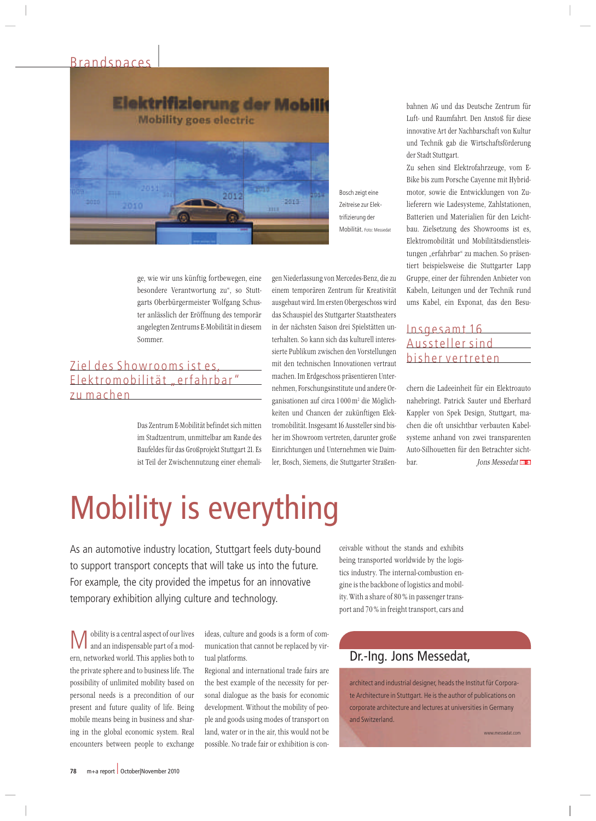#### Brandspaces |



Bosch zeigt eine Zeitreise zur Elektrifizierung der Mobilität. Foto: Messedat

 wie wir uns künftig fortbewegen, eine r uns künftig fortbewegen, eine<br>Verantwortung zu", so Stuttie wir uns künftig fortbewegen, eine<br>dere Verantwortung zu", so Stutt-Oberbürgermeister Wolfgang Schusge, wie wir uns kunftig fortbewegen, eine<br>sondere Verantwortung zu", so Stutt-<br>ts Oberbürgermeister Wolfgang Schus-<br>anlässlich der Eröffnung des temporär besondere Verantwortung zu", so Stutt-Verantwortung zu", so Stutt-<br>bürgermeister Wolfgang Schus-<br>ch der Eröffnung des temporär<br>Zentrums E-Mobilität in diesem garts Ob

## Zentrum E-Mobilität befindet sich mitten Ziel des Showrooms ist es Elektromobilität "erfahrbar" z u machen

s<br>Zentrum E-Mobilität befindet sich mitten<br>Stadtzentrum, unmittelbar am Rande des um E-Mobilität befindet sich mitten<br>entrum, unmittelbar am Rande des<br>für das Großprojekt Stutteart 21. Es  $\mathcal{U}^{\prime}$ s zehtrum E-woonnat bennuet sich intten<br>1 Stadtzentrum, unmittelbar am Rande des<br>1 der Zwischennutzung einer ehemali-

 Niederlassung von Mercedes-Benz, diezu ederlassung von Mercedes-Benz, die zu<br>temporären Zentrum für Kreativität ng von Mercedes-Benz, die zu<br>ren Zentrum-für-Kreativität<br>Im ersten Obergeschoss wird gen<br> Schauspiel des Stuttgarter Staatstheaters<br>Schauspiel des Stuttgarter Staatstheaters<br>Schauspiel des Stuttgarter Staatstheaters einem temporären Zentrum für Kreativität den demporaten Zentrum für Kreatvitat<br>Isgebaut wird. Im ersten Obergeschoss wird<br>Is Schauspiel des Stuttgarter Staatstheaters<br>der nächsten Saison drei Spielstätten unausgebau spiel des Stuttgarter Staatstheaters<br>Spiel des Stuttgarter Staatstheaters<br>Chsten Saison drei Spielstätten un-<br>So kann sich das kulturell interesuas o rnauspier des stuttgarter staatstrieaters<br>• nächsten Saison drei Spielstätten unten.<br>Publikum zwischen den Vorstellungen in der nächsten Saison drei Spielstätten under nachsten bason dier opfeistatten un-<br>nalten. So kann sich das kulturell interes-<br>te Publikum zwischen den Vorstellungen<br>den technischen Innovationen vertraut ternanei I. so kann sich das Kulturen interes-<br>blikum zwischen den Vorstellungen<br>technischen Innovationen vertraut<br>Im Erdgeschoss präsentieren Untersielte Fu Forschungen<br>Fechnischen Innovationen vertraut<br>Im Erdgeschoss präsentieren Unter-<br>Forschungsinstitute und andere Oriiiit geli tech rdgeschoss präsentieren Unter-<br>Erdgeschoss präsentieren Unter-<br>Schungsinstitute und andere Or-<br>auf circa 1000 m<sup>2</sup> die Möglichmacht en, Forschungsinstitute und andere Oritionen auf circa 1000 m<sup>2</sup> die Möglich-<br>und Chancen der zukünftigen Eleknehmen, Forschungsinstitute und andere Or-Institute und andere OI-<br>Institute and an andere OI-<br>Insgesamt 16 Aussteller sind bisgai. isaatonen auf chca 1 000 m- die mognen-<br>ien und Chancen der zukünftigen Elek-<br>mobilität. Insgesamt 16 Aussteller sind bis-<br>im Showroom vertreten, darunter große kenen und G und unternehmen wie Daim-<br>sigesamt 16 Aussteller sind bis-<br>oom vertreten, darunter große<br>und Unternehmen wie Daimler,her im Showroom vertreten, darunter große<br>Einrichtungen und Unternehmen wie Daim-<br>ler, Bosch, Siemens, die Stuttgarter Straßen-

.<br>bahnen AG und das Deutsche Zentrum für und Raumfahrt. Den Anstoß für diese<br>und Raumfahrt. Den Anstoß für diese Fart der Nachbarsche Zentrum für<br>Raumfahrt. Den Anstoß für diese<br>Art der Nachbarschaft von Kultur Fern auf das Beutsche Zeitt um Tur<br>Film die Nachbarschaft von Kultur<br>Technik gab die Wirtschaftsförderung ndi.<br>E e- und Kaunnar<br>ovative Art der<br>1 Technik gab<br>Stadt Stuttgart. innovative Art der Nachbarschaft von Kultur novative Art der Nachbarschaft von Kultur<br>d Technik gab die Wirtschaftsförderung<br>sehen sind Elektrofahrzeuge, vom Eund Technik gab die Wirtschaftsforderung<br>itadt Stuttgart.<br>iehen sind Elektrofahrzeuge, vom E-<br>bis zum Porsche Cavenne mit Hybridder Stadt Stuttgart.

dt Stuttgart.<br>1981 sind Elektrofahrzeuge, vom E-<br>1881 sum Porsche Cayenne mit Hybrid-<br>1892 sowie die Entwicklungen von Zu-Zu seher n sind Elektrotahrzeuge, vom E-<br>zum Porsche Cayenne mit Hybrid-<br>owie die Entwicklungen von Zu-<br>wie Ladesvsteme. Zahlstationen. Bike bis zum Porsche Cayenne mit Hybridum Porsche Cayenne mit Hybrid-<br>wie die Entwicklungen von Zu-<br>wie Ladesysteme, Zahlstationen,<br>und Materialien für den Leichtmot or, sowie die Entwicklungen von Zu-<br>rern wie Ladesysteme, Zahlstationen,<br>erien und Materialien für den Leicht-<br>Zielsetzung des Showrooms ist es. lieferern wie La desysteme, Zahlstationen,<br>Iaterialien für den Leicht-<br>3 des Showrooms ist es,<br>und Mobilitätsdienstleis-Batterien und Materialien für den Leichten und Materialien tur den Leicht-<br>ielsetzung des Showrooms ist es,<br>mobilität und Mobilitätsdienstleis-<br>"erfahrbar" zu machen. So präsenbau. Zielsetzung des Showrooms ist es,<br>tromobilität und Mobilitätsdienstleis-<br>gen "erfahrbar" zu machen. So präsen-<br>beispielsweise die Stuttgarter Lapp Elektror mobilitat und Mobilitatsdienstleis-<br>erfahrbar" zu machen. So präsen-<br>ispielsweise die Stuttgarter Lapp<br>einer der führenden Anbieter von tungen ertahrbar" zu machen. So prasenispielsweise die Stuttgarter Lapp<br>, einer der führenden Anbieter von<br>Leitungen und der Technik rund tiert beispielsweise die Stuttgarter Lapp beispielsweise die Stuttgarter Lapp<br>ppe, einer der führenden Anbieter von<br>eln, Leitungen und der Technik rund<br>Kabel. ein Exponat. das den Besu-

#### bisher vertreten bisher vertreten<br>chern die Ladeeinheit für ein Elektroauto nahebringt.<br>T Insgesamt 16 Aussteller sind

Patrick Sauter und Eberhard<br>Patrick Sauter und Eberhard ie Ladeeinheit für ein Elektroauto<br>ngt. Patrick Sauter und Eberhard<br>von Spek Design, Stuttgart, man die Ladeeinheit tur ein Elektroauto<br>bringt. Patrick Sauter und Eberhard<br>bler von Spek Design, Stuttgart, ma-<br>die oft unsichtbar verbauten Kabelnahebri ngt. Patrick Sauter und Eberhard<br>von Spek Design, Stuttgart, ma-<br>e oft unsichtbar verbauten Kabel-<br>anhand von zwei transparenten Kappler von Spe ek Design, Stuttgart, ma<br>ichtbar verbauten Kabel-<br>von zwei transparenten<br>für den Betrachter sichtche: bar. Jons Messedat<sub>Ina</sub>

# Mobility is everything

**temporary exhibition allying culture and technology.**<br> **N A** obility is a central aspect of our lives ideas, culture and goods nd technology.<br>culture and goods is a form of com-As an automotive industry location, Stuttgart feels duty-bound to support transport concepts that will take us into the future. For example, the city provided the impetus for an innovative

encounters between people to exchange M obility is a central aspect of our lives here is a central aspect of our lives<br>and an indispensable part of a mod-<br>networked world. This applies both to  $\mathbb{R}$ positity is a central aspect of our lives<br>and an indispensable part of a mod-<br>, networked world. This applies both to<br>private sphere and to business life. The **IV** and 1 an indispensable part of a mod-<br>orked world. This applies both to<br>e sphere and to business life. The<br>of unlimited mobility based on ern, netv worked world. This applies both to<br>te sphere and to business life. The<br>ty of unlimited mobility based on<br>needs is a precondition of our the private sphere and to business life. The rate sphere and to business lite. The<br>ity of unlimited mobility based on<br>al needs is a precondition of our<br>and future quality of life. Being possibi lity of unlimited mobility based on<br>al needs is a precondition of our<br>t and future quality of life. Being<br>means being in business and sharpersonal needs is a precondition of our in the global is a precondition of our<br>sent and future quality of life. Being<br>bile means being in business and shar-<br>in the global economic system. Real present an mobile means being in business and sharing in the global economic system. Real

that cannot be replaced by vir-<br>that cannot be replaced by virs, culture a<br>ication the<br>platforms. ideas, cu lture and goods is a torm of com-<br>ion that cannot be replaced by vir-<br>orms.<br>and international trade fairs are mu nication that cannot be replaced by vir-<br>l platforms.<br>gional and international trade fairs are<br>best example of the necessity for pertual platforms.

diatorms.<br>Inal and international trade fairs are<br>est example of the necessity for per-<br>dialogue as the basis for economic Regional and international trade tairs are<br>nple of the necessity for per-<br>e as the basis for economic<br>Without the mobility of peo $the$ best example of the necessity for per-<br>tal dialogue as the basis for economic<br>relopment. Without the mobility of peo-<br>and goods using modes of transport on sonal dialogue as the basis for economic I dialogue as the basis for economic<br>opment. Without the mobility of peo-<br>nd goods using modes of transport on<br>water or in the air. this would not be developr ple and goods using modes of transport on<br>land, water or in the air, this would not be<br>possible. No trade fair or exhibition is con-

without the stands and exhibits the without the stands and exhibits<br>transported worldwide by the logisrable without the stands and exhibits<br>ing transported worldwide by the logis-<br>industry. The internal-combustion enceivab the without the stands and exhibits<br>transported worldwide by the logis-<br>dustry. The internal-combustion en-<br>the backbone of logistics and mobilbei ng transported worldwide by the logis-<br>industry. The internal-combustion en-<br>e is the backbone of logistics and mobil-<br>With a share of 80 % in passenger transtics industry. The internal-combustion en-<br>is the backbone of logistics and mobil-<br>With a share of 80 % in passenger trans-<br>and 70 % in freight transport, cars and

#### Dr.-Ing. Jons Messedat,

architect and industrial designer, heads the Institut für Corporate Architecture in Stuttgart. He is the author of publications on corporate architecture and lectures at universities in Germany and Switzerland.

w.messedat.com